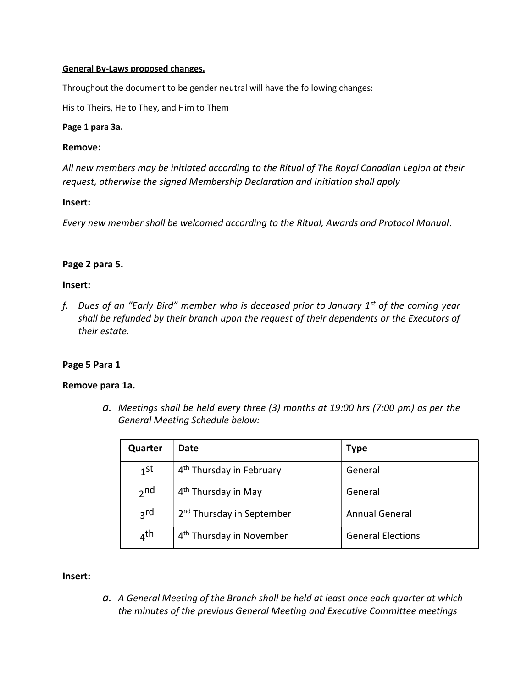### General By-Laws proposed changes.

Throughout the document to be gender neutral will have the following changes:

His to Theirs, He to They, and Him to Them

#### Page 1 para 3a.

#### Remove:

All new members may be initiated according to the Ritual of The Royal Canadian Legion at their request, otherwise the signed Membership Declaration and Initiation shall apply

### Insert:

Every new member shall be welcomed according to the Ritual, Awards and Protocol Manual.

### Page 2 para 5.

### Insert:

f. Dues of an "Early Bird" member who is deceased prior to January  $1<sup>st</sup>$  of the coming year shall be refunded by their branch upon the request of their dependents or the Executors of their estate.

### Page 5 Para 1

### Remove para 1a.

a. Meetings shall be held every three (3) months at 19:00 hrs (7:00 pm) as per the General Meeting Schedule below:

| Quarter         | Date                                  | <b>Type</b>              |
|-----------------|---------------------------------------|--------------------------|
| $1$ st          | 4 <sup>th</sup> Thursday in February  | General                  |
| $2n$ d          | 4 <sup>th</sup> Thursday in May       | General                  |
| <sub>3</sub> rd | 2 <sup>nd</sup> Thursday in September | <b>Annual General</b>    |
| $_4$ th         | 4 <sup>th</sup> Thursday in November  | <b>General Elections</b> |

### Insert:

a. A General Meeting of the Branch shall be held at least once each quarter at which the minutes of the previous General Meeting and Executive Committee meetings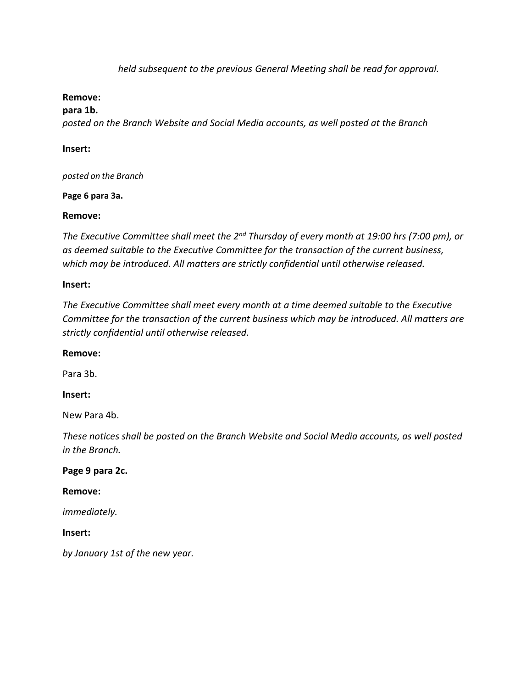held subsequent to the previous General Meeting shall be read for approval.

## Remove:

para 1b.

posted on the Branch Website and Social Media accounts, as well posted at the Branch

## Insert:

posted on the Branch

Page 6 para 3a.

## Remove:

The Executive Committee shall meet the 2<sup>nd</sup> Thursday of every month at 19:00 hrs (7:00 pm), or as deemed suitable to the Executive Committee for the transaction of the current business, which may be introduced. All matters are strictly confidential until otherwise released.

## Insert:

The Executive Committee shall meet every month at a time deemed suitable to the Executive Committee for the transaction of the current business which may be introduced. All matters are strictly confidential until otherwise released.

## Remove:

Para 3b.

## Insert:

New Para 4b.

These notices shall be posted on the Branch Website and Social Media accounts, as well posted in the Branch.

## Page 9 para 2c.

### Remove:

immediately.

## Insert:

by January 1st of the new year.